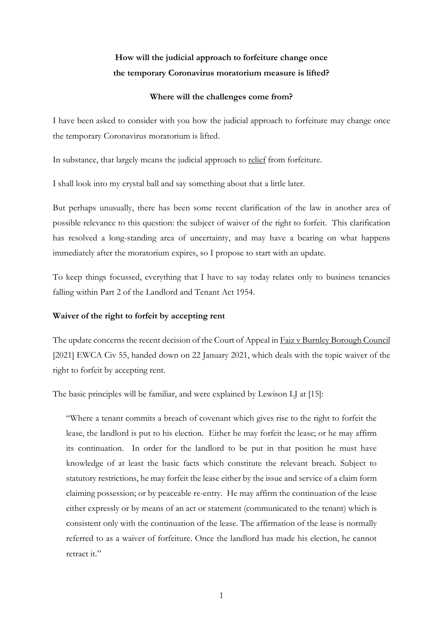# **How will the judicial approach to forfeiture change once the temporary Coronavirus moratorium measure is lifted?**

### **Where will the challenges come from?**

I have been asked to consider with you how the judicial approach to forfeiture may change once the temporary Coronavirus moratorium is lifted.

In substance, that largely means the judicial approach to relief from forfeiture.

I shall look into my crystal ball and say something about that a little later.

But perhaps unusually, there has been some recent clarification of the law in another area of possible relevance to this question: the subject of waiver of the right to forfeit. This clarification has resolved a long-standing area of uncertainty, and may have a bearing on what happens immediately after the moratorium expires, so I propose to start with an update.

To keep things focussed, everything that I have to say today relates only to business tenancies falling within Part 2 of the Landlord and Tenant Act 1954.

#### **Waiver of the right to forfeit by accepting rent**

The update concerns the recent decision of the Court of Appeal in Faiz v Burnley Borough Council [2021] EWCA Civ 55, handed down on 22 January 2021, which deals with the topic waiver of the right to forfeit by accepting rent.

The basic principles will be familiar, and were explained by Lewison LJ at [15]:

"Where a tenant commits a breach of covenant which gives rise to the right to forfeit the lease, the landlord is put to his election. Either he may forfeit the lease; or he may affirm its continuation. In order for the landlord to be put in that position he must have knowledge of at least the basic facts which constitute the relevant breach. Subject to statutory restrictions, he may forfeit the lease either by the issue and service of a claim form claiming possession; or by peaceable re-entry. He may affirm the continuation of the lease either expressly or by means of an act or statement (communicated to the tenant) which is consistent only with the continuation of the lease. The affirmation of the lease is normally referred to as a waiver of forfeiture. Once the landlord has made his election, he cannot retract it."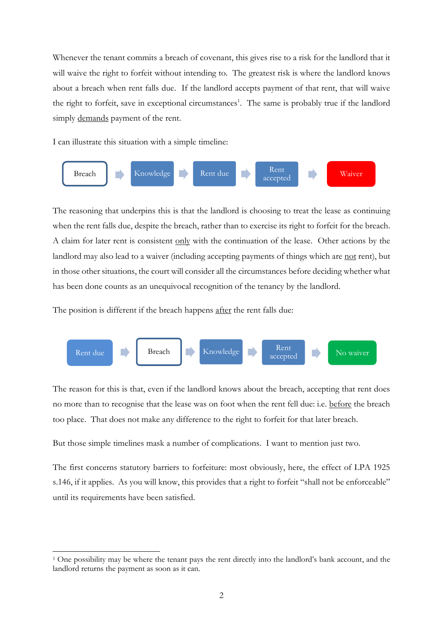Whenever the tenant commits a breach of covenant, this gives rise to a risk for the landlord that it will waive the right to forfeit without intending to. The greatest risk is where the landlord knows about a breach when rent falls due. If the landlord accepts payment of that rent, that will waive the right to forfeit, save in exceptional circumstances<sup>1</sup>. The same is probably true if the landlord simply demands payment of the rent.

I can illustrate this situation with a simple timeline:



The reasoning that underpins this is that the landlord is choosing to treat the lease as continuing when the rent falls due, despite the breach, rather than to exercise its right to forfeit for the breach. A claim for later rent is consistent only with the continuation of the lease. Other actions by the landlord may also lead to a waiver (including accepting payments of things which are not rent), but in those other situations, the court will consider all the circumstances before deciding whether what has been done counts as an unequivocal recognition of the tenancy by the landlord.

The position is different if the breach happens after the rent falls due:



The reason for this is that, even if the landlord knows about the breach, accepting that rent does no more than to recognise that the lease was on foot when the rent fell due: i.e. before the breach too place. That does not make any difference to the right to forfeit for that later breach.

But those simple timelines mask a number of complications. I want to mention just two.

The first concerns statutory barriers to forfeiture: most obviously, here, the effect of LPA 1925 s.146, if it applies. As you will know, this provides that a right to forfeit "shall not be enforceable" until its requirements have been satisfied.

<sup>1</sup> One possibility may be where the tenant pays the rent directly into the landlord's bank account, and the landlord returns the payment as soon as it can.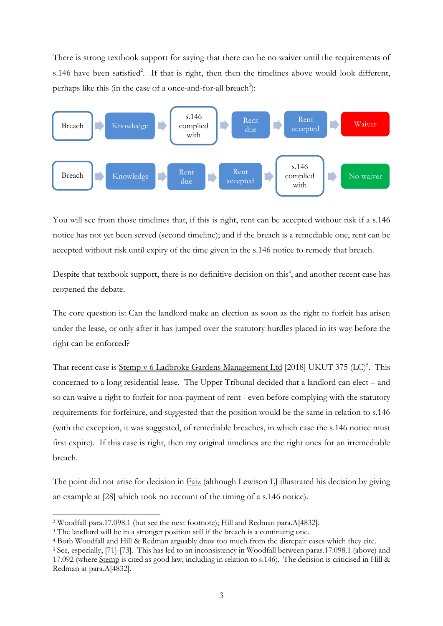There is strong textbook support for saying that there can be no waiver until the requirements of s.146 have been satisfied<sup>2</sup>. If that is right, then then the timelines above would look different, perhaps like this (in the case of a once-and-for-all breach<sup>3</sup>):



You will see from those timelines that, if this is right, rent can be accepted without risk if a s.146 notice has not yet been served (second timeline); and if the breach is a remediable one, rent can be accepted without risk until expiry of the time given in the s.146 notice to remedy that breach.

Despite that textbook support, there is no definitive decision on this<sup>4</sup>, and another recent case has reopened the debate.

The core question is: Can the landlord make an election as soon as the right to forfeit has arisen under the lease, or only after it has jumped over the statutory hurdles placed in its way before the right can be enforced?

That recent case is Stemp v 6 Ladbroke Gardens Management Ltd [2018] UKUT 375 (LC)<sup>5</sup>. This concerned to a long residential lease. The Upper Tribunal decided that a landlord can elect – and so can waive a right to forfeit for non-payment of rent - even before complying with the statutory requirements for forfeiture, and suggested that the position would be the same in relation to s.146 (with the exception, it was suggested, of remediable breaches, in which case the s.146 notice must first expire). If this case is right, then my original timelines are the right ones for an irremediable breach.

The point did not arise for decision in Faiz (although Lewison LJ illustrated his decision by giving an example at [28] which took no account of the timing of a s.146 notice).

<sup>2</sup> Woodfall para.17.098.1 (but see the next footnote); Hill and Redman para.A[4832].

<sup>&</sup>lt;sup>3</sup> The landlord will be in a stronger position still if the breach is a continuing one.

<sup>4</sup> Both Woodfall and Hill & Redman arguably draw too much from the disrepair cases which they cite.

<sup>5</sup> See, especially, [71]-[73]. This has led to an inconsistency in Woodfall between paras.17.098.1 (above) and 17.092 (where Stemp is cited as good law, including in relation to s.146). The decision is criticised in Hill & Redman at para.A[4832].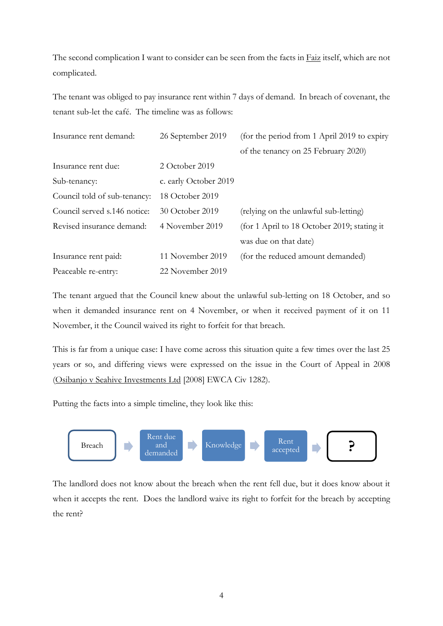The second complication I want to consider can be seen from the facts in Faiz itself, which are not complicated.

The tenant was obliged to pay insurance rent within 7 days of demand. In breach of covenant, the tenant sub-let the café. The timeline was as follows:

| Insurance rent demand:       | 26 September 2019     | (for the period from 1 April 2019 to expiry |
|------------------------------|-----------------------|---------------------------------------------|
|                              |                       | of the tenancy on 25 February 2020)         |
| Insurance rent due:          | 2 October 2019        |                                             |
| Sub-tenancy:                 | c. early October 2019 |                                             |
| Council told of sub-tenancy: | 18 October 2019       |                                             |
| Council served s.146 notice: | 30 October 2019       | (relying on the unlawful sub-letting)       |
| Revised insurance demand:    | 4 November 2019       | (for 1 April to 18 October 2019; stating it |
|                              |                       | was due on that date)                       |
| Insurance rent paid:         | 11 November 2019      | (for the reduced amount demanded)           |
| Peaceable re-entry:          | 22 November 2019      |                                             |

The tenant argued that the Council knew about the unlawful sub-letting on 18 October, and so when it demanded insurance rent on 4 November, or when it received payment of it on 11 November, it the Council waived its right to forfeit for that breach.

This is far from a unique case: I have come across this situation quite a few times over the last 25 years or so, and differing views were expressed on the issue in the Court of Appeal in 2008 (Osibanjo v Seahive Investments Ltd [2008] EWCA Civ 1282).

Putting the facts into a simple timeline, they look like this:



The landlord does not know about the breach when the rent fell due, but it does know about it when it accepts the rent. Does the landlord waive its right to forfeit for the breach by accepting the rent?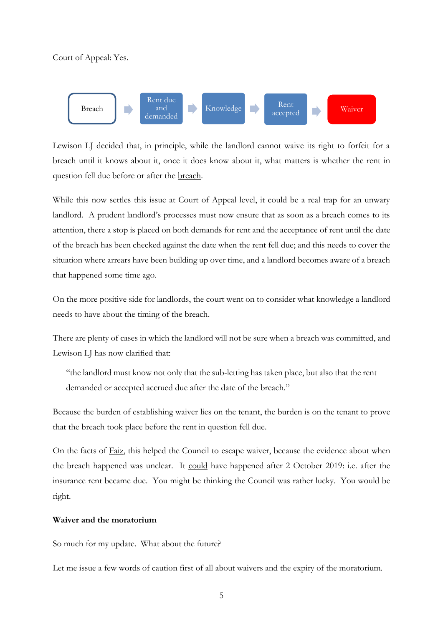Court of Appeal: Yes.



Lewison LJ decided that, in principle, while the landlord cannot waive its right to forfeit for a breach until it knows about it, once it does know about it, what matters is whether the rent in question fell due before or after the breach.

While this now settles this issue at Court of Appeal level, it could be a real trap for an unwary landlord. A prudent landlord's processes must now ensure that as soon as a breach comes to its attention, there a stop is placed on both demands for rent and the acceptance of rent until the date of the breach has been checked against the date when the rent fell due; and this needs to cover the situation where arrears have been building up over time, and a landlord becomes aware of a breach that happened some time ago.

On the more positive side for landlords, the court went on to consider what knowledge a landlord needs to have about the timing of the breach.

There are plenty of cases in which the landlord will not be sure when a breach was committed, and Lewison LJ has now clarified that:

"the landlord must know not only that the sub-letting has taken place, but also that the rent demanded or accepted accrued due after the date of the breach."

Because the burden of establishing waiver lies on the tenant, the burden is on the tenant to prove that the breach took place before the rent in question fell due.

On the facts of Faiz, this helped the Council to escape waiver, because the evidence about when the breach happened was unclear. It could have happened after 2 October 2019: i.e. after the insurance rent became due. You might be thinking the Council was rather lucky. You would be right.

## **Waiver and the moratorium**

So much for my update. What about the future?

Let me issue a few words of caution first of all about waivers and the expiry of the moratorium.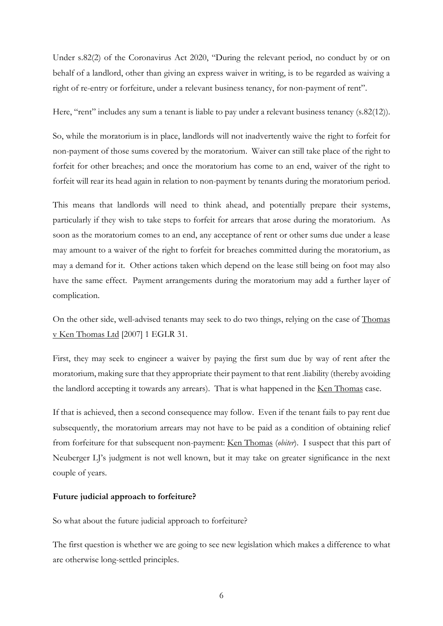Under s.82(2) of the Coronavirus Act 2020, "During the relevant period, no conduct by or on behalf of a landlord, other than giving an express waiver in writing, is to be regarded as waiving a right of re-entry or forfeiture, under a relevant business tenancy, for non-payment of rent".

Here, "rent" includes any sum a tenant is liable to pay under a relevant business tenancy (s.82(12)).

So, while the moratorium is in place, landlords will not inadvertently waive the right to forfeit for non-payment of those sums covered by the moratorium. Waiver can still take place of the right to forfeit for other breaches; and once the moratorium has come to an end, waiver of the right to forfeit will rear its head again in relation to non-payment by tenants during the moratorium period.

This means that landlords will need to think ahead, and potentially prepare their systems, particularly if they wish to take steps to forfeit for arrears that arose during the moratorium. As soon as the moratorium comes to an end, any acceptance of rent or other sums due under a lease may amount to a waiver of the right to forfeit for breaches committed during the moratorium, as may a demand for it. Other actions taken which depend on the lease still being on foot may also have the same effect. Payment arrangements during the moratorium may add a further layer of complication.

On the other side, well-advised tenants may seek to do two things, relying on the case of Thomas v Ken Thomas Ltd [2007] 1 EGLR 31.

First, they may seek to engineer a waiver by paying the first sum due by way of rent after the moratorium, making sure that they appropriate their payment to that rent .liability (thereby avoiding the landlord accepting it towards any arrears). That is what happened in the Ken Thomas case.

If that is achieved, then a second consequence may follow. Even if the tenant fails to pay rent due subsequently, the moratorium arrears may not have to be paid as a condition of obtaining relief from forfeiture for that subsequent non-payment: Ken Thomas (*obiter*). I suspect that this part of Neuberger LJ's judgment is not well known, but it may take on greater significance in the next couple of years.

#### **Future judicial approach to forfeiture?**

So what about the future judicial approach to forfeiture?

The first question is whether we are going to see new legislation which makes a difference to what are otherwise long-settled principles.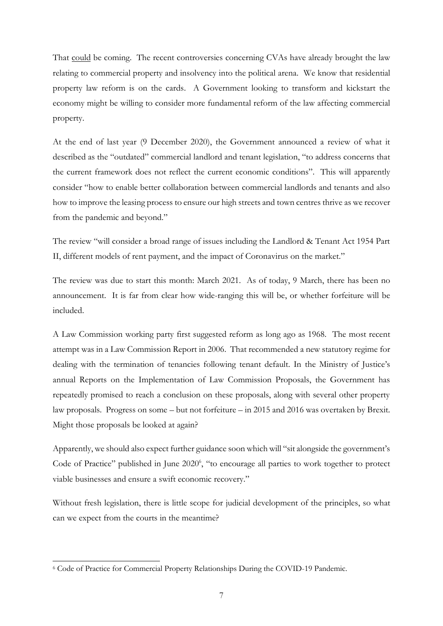That could be coming. The recent controversies concerning CVAs have already brought the law relating to commercial property and insolvency into the political arena. We know that residential property law reform is on the cards. A Government looking to transform and kickstart the economy might be willing to consider more fundamental reform of the law affecting commercial property.

At the end of last year (9 December 2020), the Government announced a review of what it described as the "outdated" commercial landlord and tenant legislation, "to address concerns that the current framework does not reflect the current economic conditions". This will apparently consider "how to enable better collaboration between commercial landlords and tenants and also how to improve the leasing process to ensure our high streets and town centres thrive as we recover from the pandemic and beyond."

The review "will consider a broad range of issues including the Landlord & Tenant Act 1954 Part II, different models of rent payment, and the impact of Coronavirus on the market."

The review was due to start this month: March 2021. As of today, 9 March, there has been no announcement. It is far from clear how wide-ranging this will be, or whether forfeiture will be included.

A Law Commission working party first suggested reform as long ago as 1968. The most recent attempt was in a Law Commission Report in 2006. That recommended a new statutory regime for dealing with the termination of tenancies following tenant default. In the Ministry of Justice's annual Reports on the Implementation of Law Commission Proposals, the Government has repeatedly promised to reach a conclusion on these proposals, along with several other property law proposals. Progress on some – but not forfeiture – in 2015 and 2016 was overtaken by Brexit. Might those proposals be looked at again?

Apparently, we should also expect further guidance soon which will "sit alongside the government's Code of Practice" published in June 2020<sup>6</sup>, "to encourage all parties to work together to protect viable businesses and ensure a swift economic recovery."

Without fresh legislation, there is little scope for judicial development of the principles, so what can we expect from the courts in the meantime?

<sup>6</sup> Code of Practice for Commercial Property Relationships During the COVID-19 Pandemic.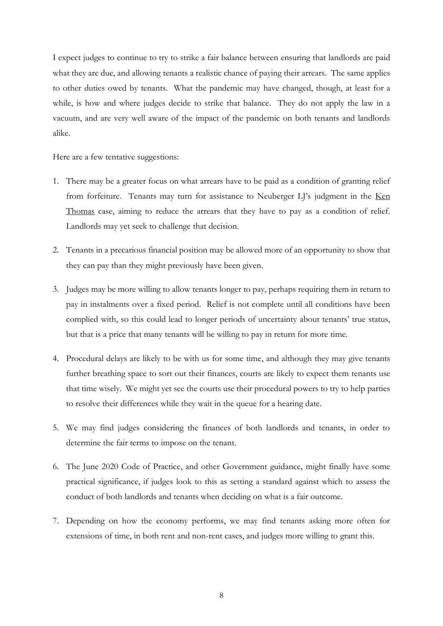I expect judges to continue to try to strike a fair balance between ensuring that landlords are paid what they are due, and allowing tenants a realistic chance of paying their arrears. The same applies to other duties owed by tenants. What the pandemic may have changed, though, at least for a while, is how and where judges decide to strike that balance. They do not apply the law in a vacuum, and are very well aware of the impact of the pandemic on both tenants and landlords alike.

Here are a few tentative suggestions:

- 1. There may be a greater focus on what arrears have to be paid as a condition of granting relief from forfeiture. Tenants may turn for assistance to Neuberger LJ's judgment in the Ken Thomas case, aiming to reduce the arrears that they have to pay as a condition of relief. Landlords may yet seek to challenge that decision.
- 2. Tenants in a precarious financial position may be allowed more of an opportunity to show that they can pay than they might previously have been given.
- 3. Judges may be more willing to allow tenants longer to pay, perhaps requiring them in return to pay in instalments over a fixed period. Relief is not complete until all conditions have been complied with, so this could lead to longer periods of uncertainty about tenants' true status, but that is a price that many tenants will be willing to pay in return for more time.
- 4. Procedural delays are likely to be with us for some time, and although they may give tenants further breathing space to sort out their finances, courts are likely to expect them tenants use that time wisely. We might yet see the courts use their procedural powers to try to help parties to resolve their differences while they wait in the queue for a hearing date.
- 5. We may find judges considering the finances of both landlords and tenants, in order to determine the fair terms to impose on the tenant.
- 6. The June 2020 Code of Practice, and other Government guidance, might finally have some practical significance, if judges look to this as setting a standard against which to assess the conduct of both landlords and tenants when deciding on what is a fair outcome.
- 7. Depending on how the economy performs, we may find tenants asking more often for extensions of time, in both rent and non-rent cases, and judges more willing to grant this.